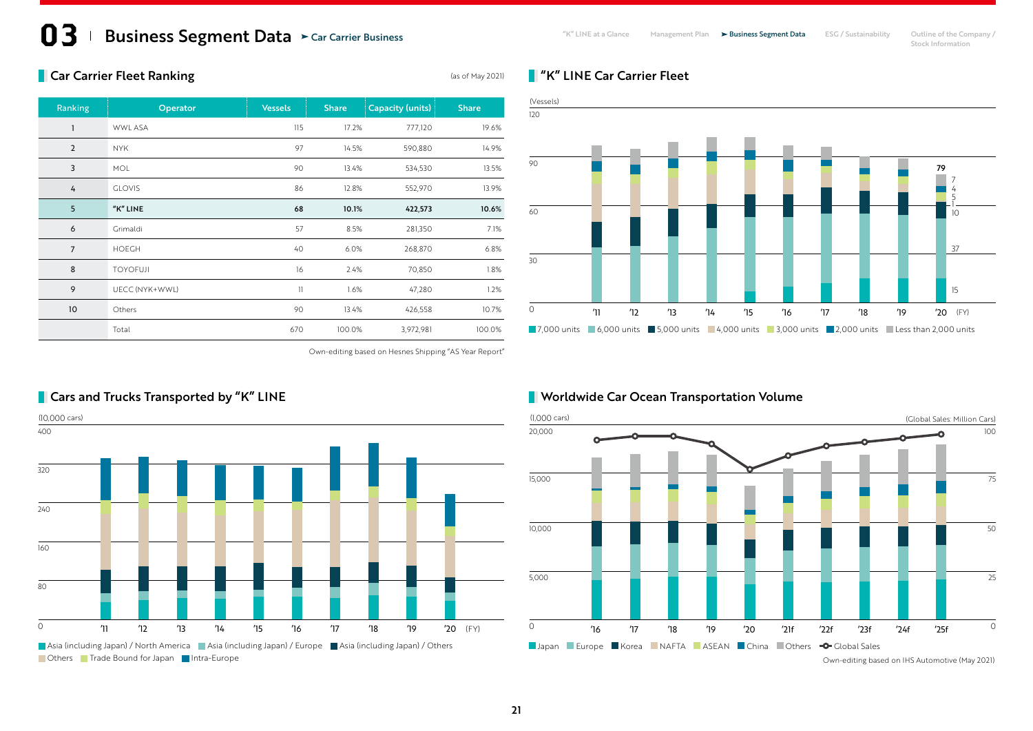## **13** Business Segment Data > Car Carrier Business **Segment Business Carrier Business** All Management Plan > Business Segment Data ESG / Sustainability Outline of the Company / Stock Information Car Carrier Business

# **Car Carrier Fleet Ranking Carrier Fleet Ranking** (as of May 2021)

| Ranking        | Operator        | <b>Vessels</b> | <b>Share</b> | Capacity (units) | <b>Share</b> |
|----------------|-----------------|----------------|--------------|------------------|--------------|
| 1              | <b>WWL ASA</b>  | 115            | 17.2%        | 777,120          | 19.6%        |
| $\overline{2}$ | <b>NYK</b>      | 97             | 14.5%        | 590,880          | 14.9%        |
| 3              | <b>MOL</b>      | 90             | 13.4%        | 534,530          | 13.5%        |
| 4              | <b>GLOVIS</b>   | 86             | 12.8%        | 552,970          | 13.9%        |
| 5              | "K" LINE        | 68             | 10.1%        | 422,573          | 10.6%        |
| 6              | Grimaldi        | 57             | 8.5%         | 281,350          | 7.1%         |
| $\overline{7}$ | <b>HOEGH</b>    | 40             | 6.0%         | 268,870          | 6.8%         |
| 8              | <b>TOYOFUJI</b> | 16             | 2.4%         | 70,850           | 1.8%         |
| 9              | UECC (NYK+WWL)  | $\mathbf{1}$   | 1.6%         | 47,280           | 1.2%         |
| 10             | Others          | 90             | 13.4%        | 426,558          | 10.7%        |
|                | Total           | 670            | 100.0%       | 3,972,981        | 100.0%       |

Own-editing based on Hesnes Shipping "AS Year Report"

#### **7,000 units** 6,000 units 5,000 units 4,000 units 3,000 units 2,000 units Less than 2,000 units 90 30  $\circ$ 60 5 4 7 1  $1<sup>0</sup>$ 37 15 '11 '12 '13 '14 '15 '16 '17 '18 '19 '20 79 (FY)

#### **Norldwide Car Ocean Transportation Volume**

**N** "K" LINE Car Carrier Fleet

120

(Vessels)



# **Cars and Trucks Transported by "K" LINE**

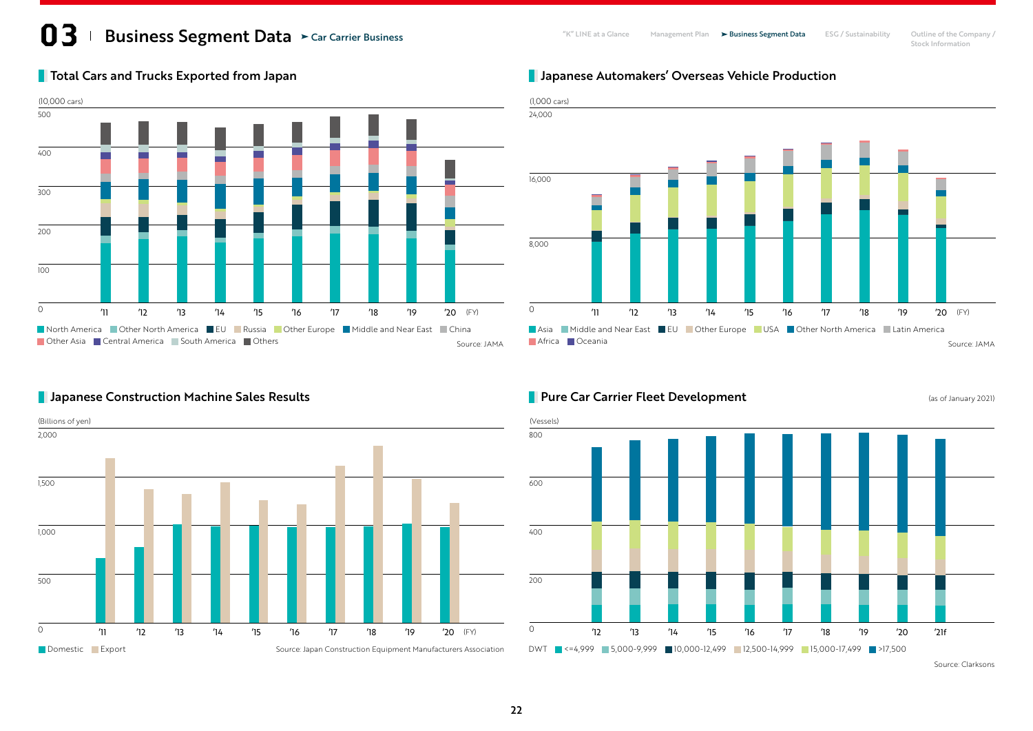# **13** Business Segment Data > Car Carrier Business **Segment Business Carrier Business** All Management Plan > Business Segment Data ESG / Sustainability Outline of the Company / Stock Information Car Carrier Business

Stock Information

North America **Cther North America ELU Russia Cther Europe Middle and Near East** China Other Asia Central America South America Others 500 400 0 300 200 100 (10,000 cars) '11 '12 '13 '14 '15 '16 '17 '18 '19 '20

# **The Total Cars and Trucks Exported from Japan**

# **Japanese Automakers' Overseas Vehicle Production**



## **Pure Car Carrier Fleet Development** (as of January 2021)



### **Japanese Construction Machine Sales Results**



22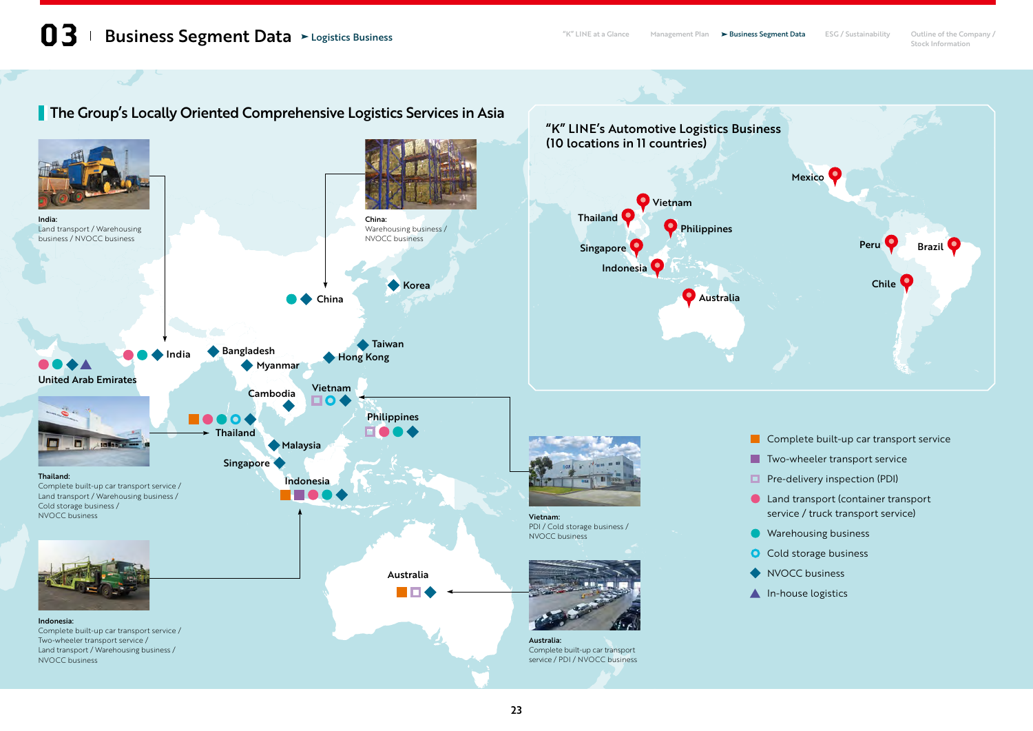# **The Group's Locally Oriented Comprehensive Logistics Services in Asia**

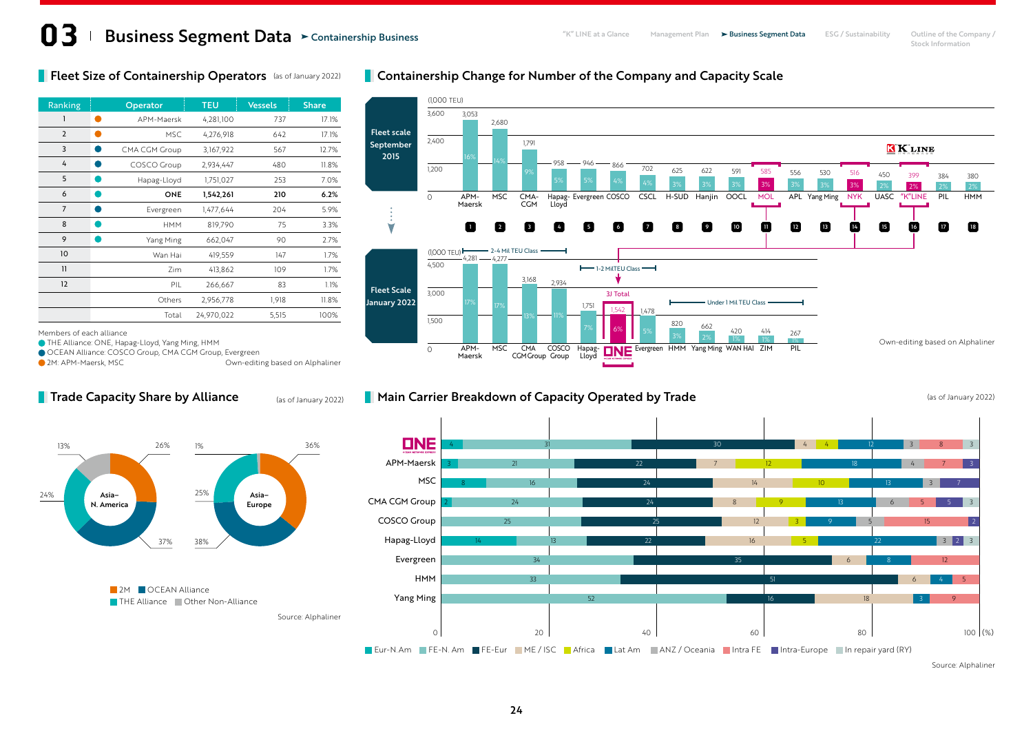### **Fleet Size of Containership Operators** (as of January 2022)

| Ranking        | Operator      | <b>TEU</b> | <b>Vessels</b> | <b>Share</b> |
|----------------|---------------|------------|----------------|--------------|
| 1              | APM-Maersk    | 4,281,100  | 737            | 17.1%        |
| $\overline{2}$ | <b>MSC</b>    | 4,276,918  | 642            | 17.1%        |
| 3              | CMA CGM Group | 3,167,922  | 567            | 12.7%        |
| 4              | COSCO Group   | 2,934,447  | 480            | 11.8%        |
| 5              | Hapag-Lloyd   | 1,751,027  | 253            | 7.0%         |
| 6              | ONE           | 1,542,261  | 210            | 6.2%         |
| $\overline{7}$ | Evergreen     | 1,477,644  | 204            | 5.9%         |
| 8              | <b>HMM</b>    | 819,790    | 75             | 3.3%         |
| 9              | Yang Ming     | 662,047    | 90             | 2.7%         |
| 10             | Wan Hai       | 419,559    | 147            | 1.7%         |
| $\mathbf{1}$   | Zim           | 413,862    | 109            | 1.7%         |
| 12             | PIL           | 266,667    | 83             | 1.1%         |
|                | Others        | 2,956,778  | 1,918          | 11.8%        |
|                | Total         | 24,970,022 | 5,515          | 100%         |

#### **Containership Change for Number of the Company and Capacity Scale**



#### THE Alliance: ONE, Hapag-Lloyd, Yang Ming, HMM OCEAN Alliance: COSCO Group, CMA CGM Group, Evergreen

Members of each alliance

**Trade Capacity Share by Alliance** 

**2M: APM-Maersk, MSC** COME COMPERDING DEVICE A COMPENSION OWN-editing based on Alphaliner

(as of January 2022)

#### **Main Carrier Breakdown of Capacity Operated by Trade** (as of January 2022)





Source: Alphaliner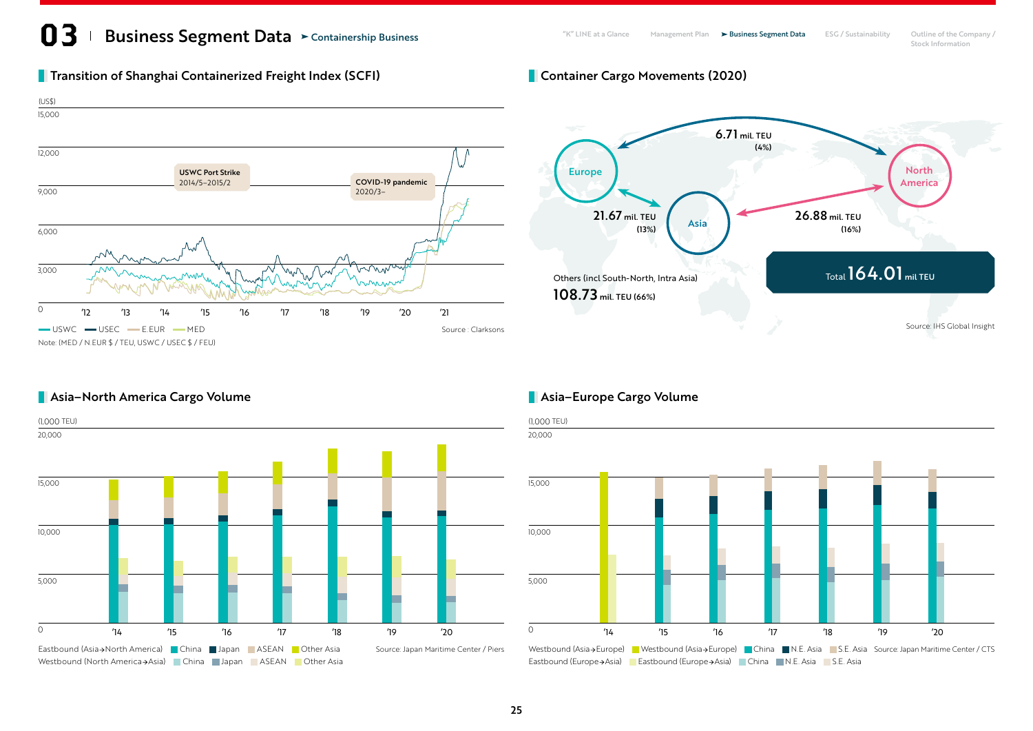# **13** Business Segment Data > Containership Business **Segment Plan Accompany / ESG** / Sustainability Outline of the Company / Containership Business

# **The Shanghai Containerized Freight Index (SCFI)** Container Cargo Movements (2020)



# Europe Asia North America Source: IHS Global Insight Others (incl South-North, Intra Asia) 108.73 mil. TEU (66%) Total 164.01 mil TEU 6.71 mil. TEU (4%) 26.88 mil. TEU (16%) 21.67 mil. TEU (13%)

# **Asia–North America Cargo Volume Asia–Europe Cargo Volume Asia–Europe Cargo Volume**





Westbound (Asia > Europe) Westbound (Asia > Europe) China N.E. Asia S.E. Asia Source: Japan Maritime Center / CTS Eastbound (Europe→Asia) Eastbound (Europe→Asia) China N.E. Asia S.E. Asia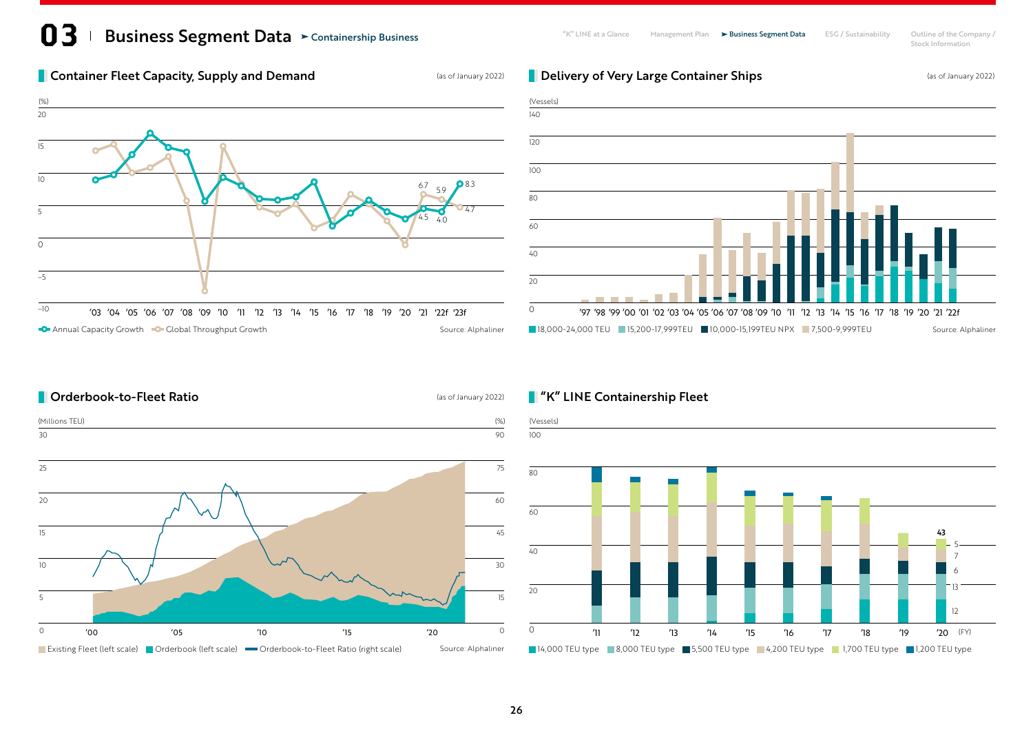## **13** Business Segment Data > Containership Business **Segment Plan Accompany / ESG** / Sustainability Outline of the Company / Containership Business

Stock Information

### **Container Fleet Capacity, Supply and Demand** (as of January 2022)





**Delivery of Very Large Container Ships** (as of January 2022)

### **Conderbook-to-Fleet Ratio Consumersion Conderwater** (as of January 2022)





### **T** "K" LINE Containership Fleet